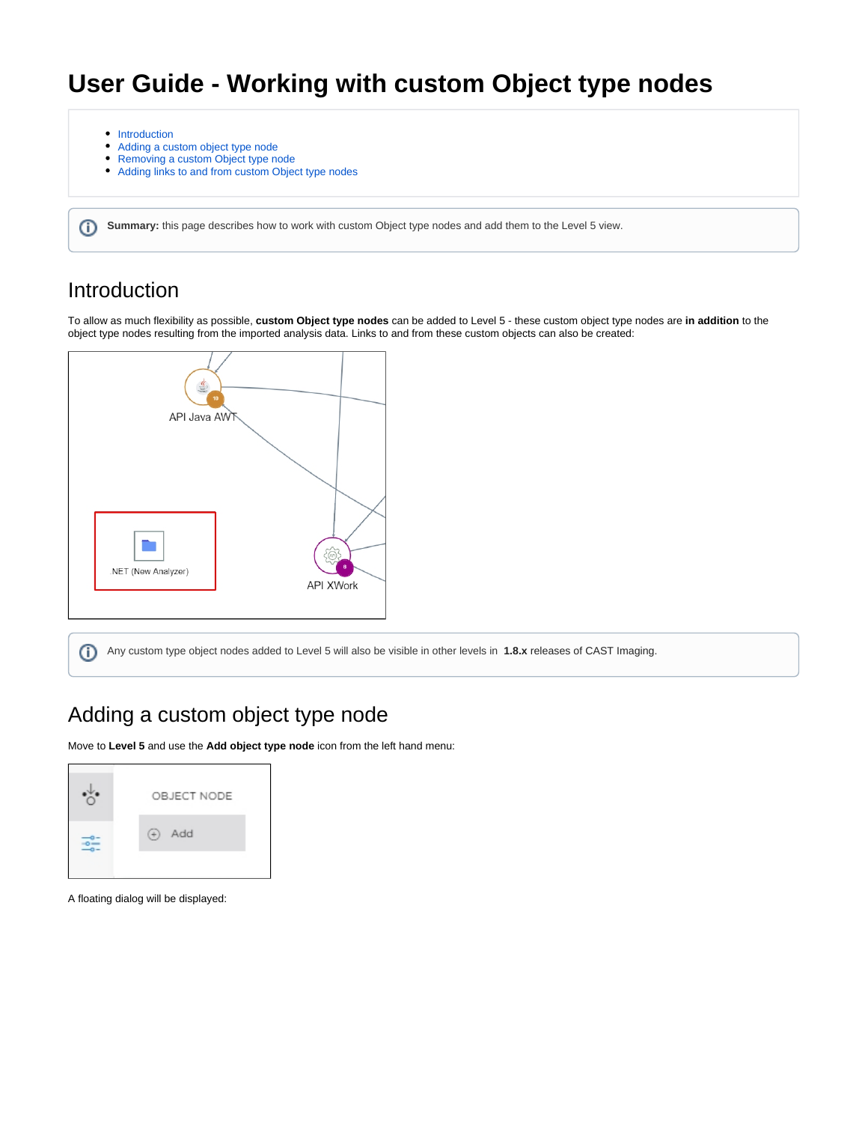## **User Guide - Working with custom Object type nodes**

- [Introduction](#page-0-0)
- [Adding a custom object type node](#page-0-1)
- [Removing a custom Object type node](#page-2-0)
- [Adding links to and from custom Object type nodes](#page-2-1)

**Summary:** this page describes how to work with custom Object type nodes and add them to the Level 5 view.

#### <span id="page-0-0"></span>Introduction

⊕

To allow as much flexibility as possible, **custom Object type nodes** can be added to Level 5 - these custom object type nodes are **in addition** to the object type nodes resulting from the imported analysis data. Links to and from these custom objects can also be created:



Any custom type object nodes added to Level 5 will also be visible in other levels in **1.8.x** releases of CAST Imaging.⋒

### <span id="page-0-1"></span>Adding a custom object type node

Move to **Level 5** and use the **Add object type node** icon from the left hand menu:



A floating dialog will be displayed: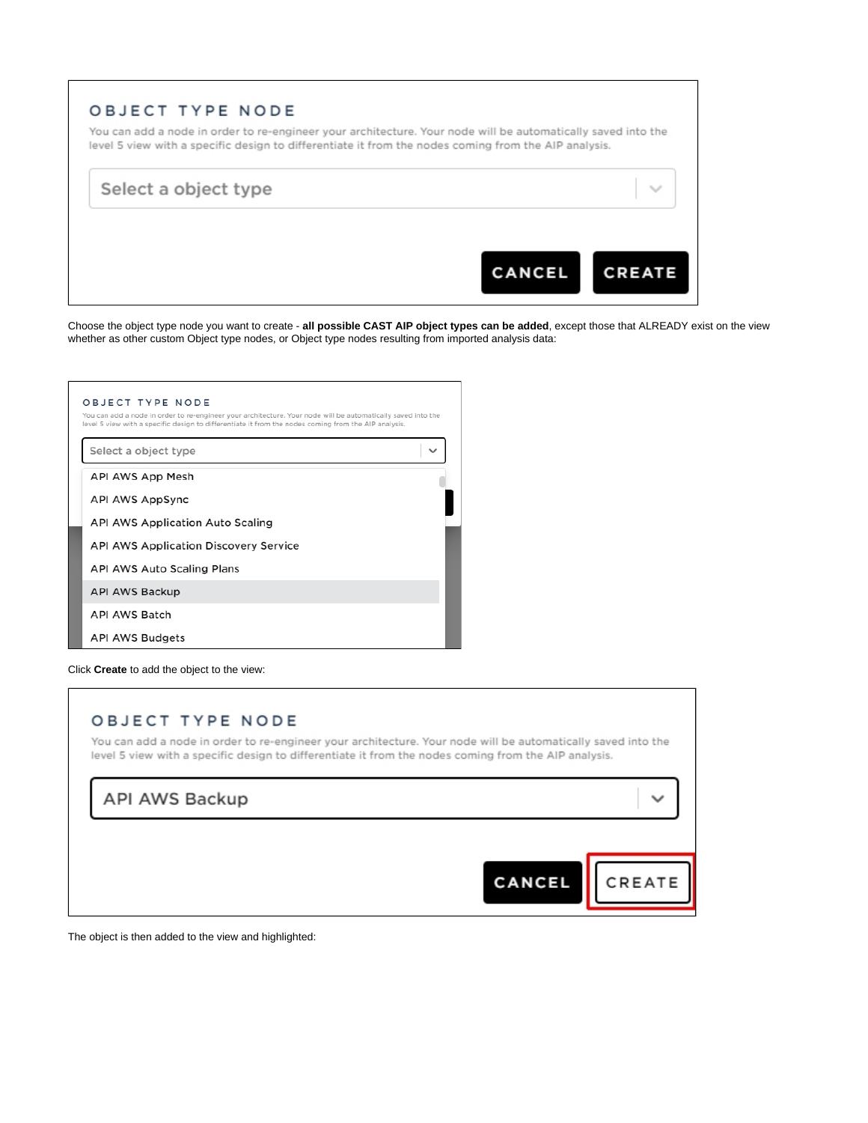|  | Select a object type |  |
|--|----------------------|--|
|--|----------------------|--|

Choose the object type node you want to create - **all possible CAST AIP object types can be added**, except those that ALREADY exist on the view whether as other custom Object type nodes, or Object type nodes resulting from imported analysis data:

| OBJECT TYPE NODE<br>You can add a node in order to re-engineer your architecture. Your node will be automatically saved into the<br>level 5 view with a specific design to differentiate it from the nodes coming from the AIP analysis. |  |
|------------------------------------------------------------------------------------------------------------------------------------------------------------------------------------------------------------------------------------------|--|
| Select a object type                                                                                                                                                                                                                     |  |
| API AWS App Mesh                                                                                                                                                                                                                         |  |
| API AWS AppSync                                                                                                                                                                                                                          |  |
| API AWS Application Auto Scaling                                                                                                                                                                                                         |  |
| <b>API AWS Application Discovery Service</b>                                                                                                                                                                                             |  |
| API AWS Auto Scaling Plans                                                                                                                                                                                                               |  |
| API AWS Backup                                                                                                                                                                                                                           |  |
| API AWS Batch                                                                                                                                                                                                                            |  |
| <b>API AWS Budgets</b>                                                                                                                                                                                                                   |  |

Click **Create** to add the object to the view:

# OBJECT TYPE NODE You can add a node in order to re-engineer your architecture. Your node will be automatically saved into the level 5 view with a specific design to differentiate it from the nodes coming from the AIP analysis. API AWS Backup

 $\checkmark$ 

CREATE

CANCEL

The object is then added to the view and highlighted: